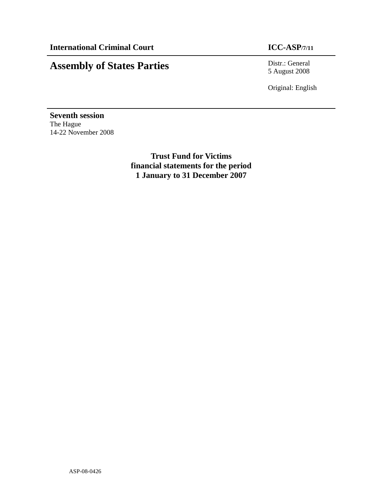# **Assembly of States Parties** Distr.: General

5 August 2008

Original: English

**Seventh session**  The Hague 14-22 November 2008

> **Trust Fund for Victims financial statements for the period 1 January to 31 December 2007**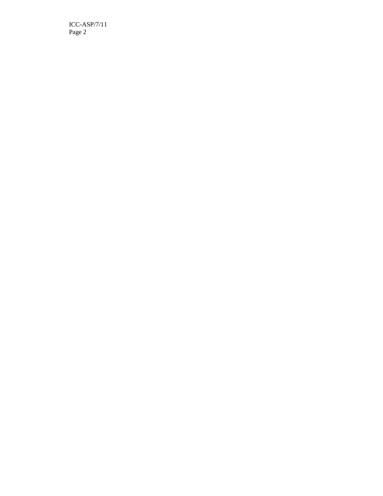ICC-ASP/7/11 Page 2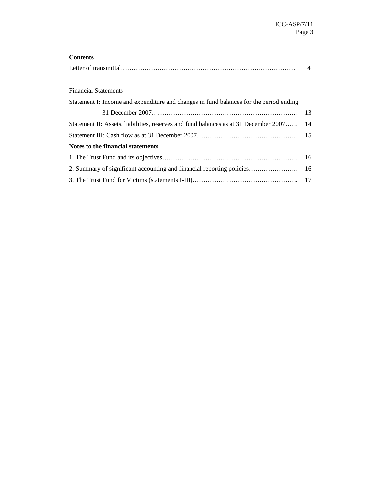| <b>Contents</b>             |  |
|-----------------------------|--|
|                             |  |
|                             |  |
| <b>Financial Statements</b> |  |

| Statement I: Income and expenditure and changes in fund balances for the period ending  |  |  |  |
|-----------------------------------------------------------------------------------------|--|--|--|
|                                                                                         |  |  |  |
| Statement II: Assets, liabilities, reserves and fund balances as at 31 December 2007 14 |  |  |  |
|                                                                                         |  |  |  |
| Notes to the financial statements                                                       |  |  |  |
|                                                                                         |  |  |  |
|                                                                                         |  |  |  |
|                                                                                         |  |  |  |
|                                                                                         |  |  |  |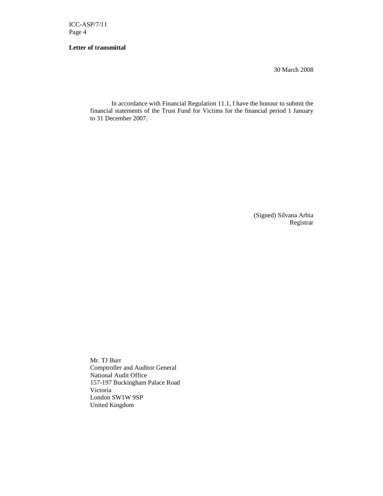ICC-ASP/7/11 Page 4

**Letter of transmittal** 

30 March 2008

In accordance with Financial Regulation 11.1, I have the honour to submit the financial statements of the Trust Fund for Victims for the financial period 1 January to 31 December 2007.

> (Signed) Silvana Arbia Registrar

Mr. TJ Burr Comptroller and Auditor General National Audit Office 157-197 Buckingham Palace Road Victoria London SW1W 9SP United Kingdom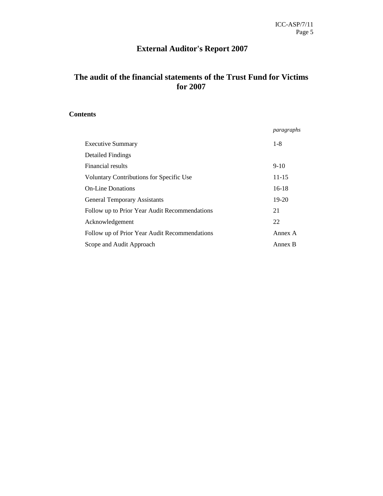# **External Auditor's Report 2007**

## **The audit of the financial statements of the Trust Fund for Victims for 2007**

## **Contents**

|                                               | paragraphs |
|-----------------------------------------------|------------|
| <b>Executive Summary</b>                      | $1 - 8$    |
| <b>Detailed Findings</b>                      |            |
| Financial results                             | $9-10$     |
| Voluntary Contributions for Specific Use      | $11 - 15$  |
| <b>On-Line Donations</b>                      | $16-18$    |
| <b>General Temporary Assistants</b>           | $19-20$    |
| Follow up to Prior Year Audit Recommendations | 21         |
| Acknowledgement                               | 22         |
| Follow up of Prior Year Audit Recommendations | Annex A    |
| Scope and Audit Approach                      | Annex B    |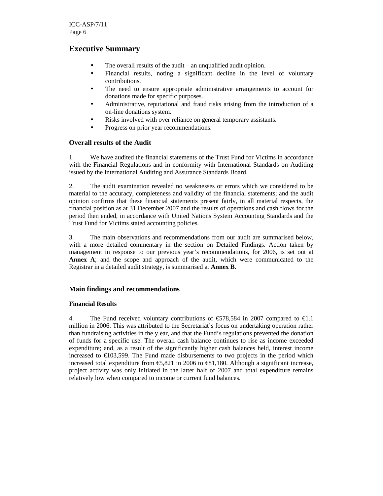## **Executive Summary**

- The overall results of the audit an unqualified audit opinion.
- Financial results, noting a significant decline in the level of voluntary contributions.
- The need to ensure appropriate administrative arrangements to account for donations made for specific purposes.
- Administrative, reputational and fraud risks arising from the introduction of a on-line donations system.
- Risks involved with over reliance on general temporary assistants.
- Progress on prior year recommendations.

#### **Overall results of the Audit**

1. We have audited the financial statements of the Trust Fund for Victims in accordance with the Financial Regulations and in conformity with International Standards on Auditing issued by the International Auditing and Assurance Standards Board.

2. The audit examination revealed no weaknesses or errors which we considered to be material to the accuracy, completeness and validity of the financial statements; and the audit opinion confirms that these financial statements present fairly, in all material respects, the financial position as at 31 December 2007 and the results of operations and cash flows for the period then ended, in accordance with United Nations System Accounting Standards and the Trust Fund for Victims stated accounting policies.

3. The main observations and recommendations from our audit are summarised below, with a more detailed commentary in the section on Detailed Findings. Action taken by management in response to our previous year's recommendations, for 2006, is set out at **Annex A**; and the scope and approach of the audit, which were communicated to the Registrar in a detailed audit strategy, is summarised at **Annex B**.

#### **Main findings and recommendations**

#### **Financial Results**

4. The Fund received voluntary contributions of  $\epsilon$ 578, 584 in 2007 compared to  $\epsilon$ 1.1 million in 2006. This was attributed to the Secretariat's focus on undertaking operation rather than fundraising activities in the y ear, and that the Fund's regulations prevented the donation of funds for a specific use. The overall cash balance continues to rise as income exceeded expenditure; and, as a result of the significantly higher cash balances held, interest income increased to  $\in$ 103,599. The Fund made disbursements to two projects in the period which increased total expenditure from  $\epsilon$ 5,821 in 2006 to  $\epsilon$ 81,180. Although a significant increase, project activity was only initiated in the latter half of 2007 and total expenditure remains relatively low when compared to income or current fund balances.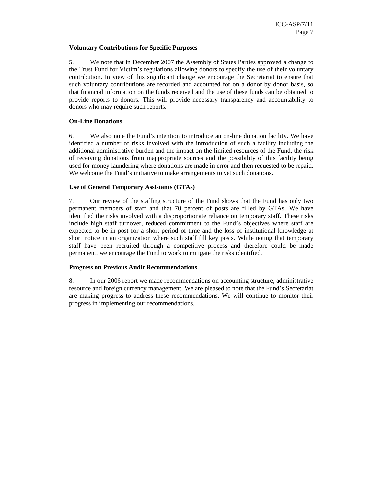#### **Voluntary Contributions for Specific Purposes**

5. We note that in December 2007 the Assembly of States Parties approved a change to the Trust Fund for Victim's regulations allowing donors to specify the use of their voluntary contribution. In view of this significant change we encourage the Secretariat to ensure that such voluntary contributions are recorded and accounted for on a donor by donor basis, so that financial information on the funds received and the use of these funds can be obtained to provide reports to donors. This will provide necessary transparency and accountability to donors who may require such reports.

#### **On-Line Donations**

6. We also note the Fund's intention to introduce an on-line donation facility. We have identified a number of risks involved with the introduction of such a facility including the additional administrative burden and the impact on the limited resources of the Fund, the risk of receiving donations from inappropriate sources and the possibility of this facility being used for money laundering where donations are made in error and then requested to be repaid. We welcome the Fund's initiative to make arrangements to vet such donations.

#### **Use of General Temporary Assistants (GTAs)**

7. Our review of the staffing structure of the Fund shows that the Fund has only two permanent members of staff and that 70 percent of posts are filled by GTAs. We have identified the risks involved with a disproportionate reliance on temporary staff. These risks include high staff turnover, reduced commitment to the Fund's objectives where staff are expected to be in post for a short period of time and the loss of institutional knowledge at short notice in an organization where such staff fill key posts. While noting that temporary staff have been recruited through a competitive process and therefore could be made permanent, we encourage the Fund to work to mitigate the risks identified.

#### **Progress on Previous Audit Recommendations**

8. In our 2006 report we made recommendations on accounting structure, administrative resource and foreign currency management. We are pleased to note that the Fund's Secretariat are making progress to address these recommendations. We will continue to monitor their progress in implementing our recommendations.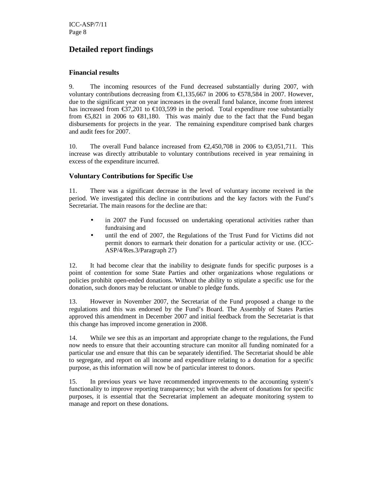## **Detailed report findings**

### **Financial results**

9. The incoming resources of the Fund decreased substantially during 2007, with voluntary contributions decreasing from  $\epsilon$ 1,135,667 in 2006 to  $\epsilon$ 578,584 in 2007. However, due to the significant year on year increases in the overall fund balance, income from interest has increased from  $\epsilon$ 37,201 to  $\epsilon$ 103,599 in the perid. Total expenditure rose substantially from  $\text{\textsterling}5,821$  in 2006 to  $\text{\textsterling}81,180$ . This was mainly due to the fact that the Fund began disbursements for projects in the year. The remaining expenditure comprised bank charges and audit fees for 2007.

10. The overall Fund balance increased from €2,450,708 in 2006 to €3,051,711. This increase was directly attributable to voluntary contributions received in year remaining in excess of the expenditure incurred.

### **Voluntary Contributions for Specific Use**

11. There was a significant decrease in the level of voluntary income received in the period. We investigated this decline in contributions and the key factors with the Fund's Secretariat. The main reasons for the decline are that:

- in 2007 the Fund focussed on undertaking operational activities rather than fundraising and
- until the end of 2007, the Regulations of the Trust Fund for Victims did not permit donors to earmark their donation for a particular activity or use. (ICC-ASP/4/Res.3/Paragraph 27)

12. It had become clear that the inability to designate funds for specific purposes is a point of contention for some State Parties and other organizations whose regulations or policies prohibit open-ended donations. Without the ability to stipulate a specific use for the donation, such donors may be reluctant or unable to pledge funds.

13. However in November 2007, the Secretariat of the Fund proposed a change to the regulations and this was endorsed by the Fund's Board. The Assembly of States Parties approved this amendment in December 2007 and initial feedback from the Secretariat is that this change has improved income generation in 2008.

14. While we see this as an important and appropriate change to the regulations, the Fund now needs to ensure that their accounting structure can monitor all funding nominated for a particular use and ensure that this can be separately identified. The Secretariat should be able to segregate, and report on all income and expenditure relating to a donation for a specific purpose, as this information will now be of particular interest to donors.

15. In previous years we have recommended improvements to the accounting system's functionality to improve reporting transparency; but with the advent of donations for specific purposes, it is essential that the Secretariat implement an adequate monitoring system to manage and report on these donations.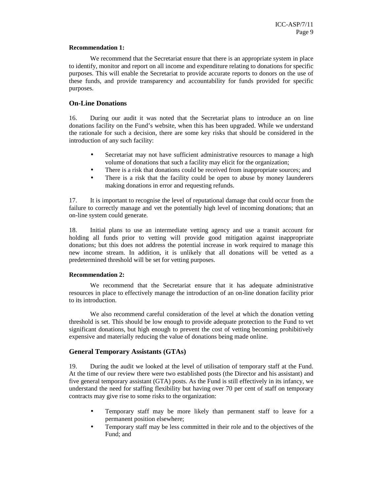#### **Recommendation 1:**

We recommend that the Secretariat ensure that there is an appropriate system in place to identify, monitor and report on all income and expenditure relating to donations for specific purposes. This will enable the Secretariat to provide accurate reports to donors on the use of these funds, and provide transparency and accountability for funds provided for specific purposes.

#### **On-Line Donations**

16. During our audit it was noted that the Secretariat plans to introduce an on line donations facility on the Fund's website, when this has been upgraded. While we understand the rationale for such a decision, there are some key risks that should be considered in the introduction of any such facility:

- Secretariat may not have sufficient administrative resources to manage a high volume of donations that such a facility may elicit for the organization;
- There is a risk that donations could be received from inappropriate sources; and
- There is a risk that the facility could be open to abuse by money launderers making donations in error and requesting refunds.

17. It is important to recognise the level of reputational damage that could occur from the failure to correctly manage and vet the potentially high level of incoming donations; that an on-line system could generate.

18. Initial plans to use an intermediate vetting agency and use a transit account for holding all funds prior to vetting will provide good mitigation against inappropriate donations; but this does not address the potential increase in work required to manage this new income stream. In addition, it is unlikely that all donations will be vetted as a predetermined threshold will be set for vetting purposes.

#### **Recommendation 2:**

We recommend that the Secretariat ensure that it has adequate administrative resources in place to effectively manage the introduction of an on-line donation facility prior to its introduction.

We also recommend careful consideration of the level at which the donation vetting threshold is set. This should be low enough to provide adequate protection to the Fund to vet significant donations, but high enough to prevent the cost of vetting becoming prohibitively expensive and materially reducing the value of donations being made online.

#### **General Temporary Assistants (GTAs)**

19. During the audit we looked at the level of utilisation of temporary staff at the Fund. At the time of our review there were two established posts (the Director and his assistant) and five general temporary assistant (GTA) posts. As the Fund is still effectively in its infancy, we understand the need for staffing flexibility but having over 70 per cent of staff on temporary contracts may give rise to some risks to the organization:

- Temporary staff may be more likely than permanent staff to leave for a permanent position elsewhere;
- Temporary staff may be less committed in their role and to the objectives of the Fund; and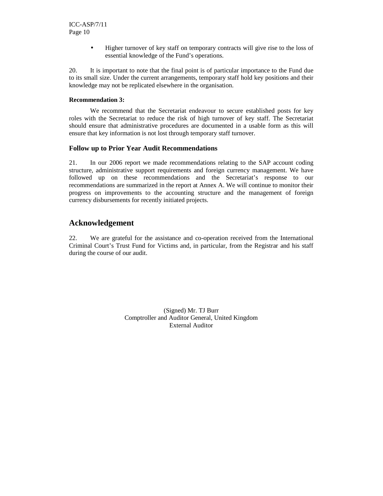Higher turnover of key staff on temporary contracts will give rise to the loss of essential knowledge of the Fund's operations.

20. It is important to note that the final point is of particular importance to the Fund due to its small size. Under the current arrangements, temporary staff hold key positions and their knowledge may not be replicated elsewhere in the organisation.

#### **Recommendation 3:**

We recommend that the Secretariat endeavour to secure established posts for key roles with the Secretariat to reduce the risk of high turnover of key staff. The Secretariat should ensure that administrative procedures are documented in a usable form as this will ensure that key information is not lost through temporary staff turnover.

#### **Follow up to Prior Year Audit Recommendations**

21. In our 2006 report we made recommendations relating to the SAP account coding structure, administrative support requirements and foreign currency management. We have followed up on these recommendations and the Secretariat's response to our recommendations are summarized in the report at Annex A. We will continue to monitor their progress on improvements to the accounting structure and the management of foreign currency disbursements for recently initiated projects.

## **Acknowledgement**

22. We are grateful for the assistance and co-operation received from the International Criminal Court's Trust Fund for Victims and, in particular, from the Registrar and his staff during the course of our audit.

> (Signed) Mr. TJ Burr Comptroller and Auditor General, United Kingdom External Auditor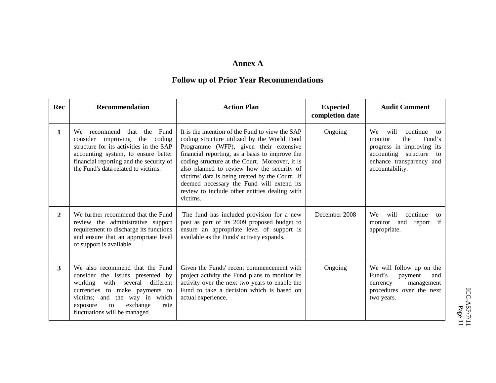## **Annex A**

## **Follow up of Prior Year Recommendations**

| <b>Rec</b>     | <b>Recommendation</b>                                                                                                                                                                                                                                 | <b>Action Plan</b>                                                                                                                                                                                                                                                                                                                                                                                                                                      | <b>Expected</b><br>completion date | <b>Audit Comment</b>                                                                                                                                               |
|----------------|-------------------------------------------------------------------------------------------------------------------------------------------------------------------------------------------------------------------------------------------------------|---------------------------------------------------------------------------------------------------------------------------------------------------------------------------------------------------------------------------------------------------------------------------------------------------------------------------------------------------------------------------------------------------------------------------------------------------------|------------------------------------|--------------------------------------------------------------------------------------------------------------------------------------------------------------------|
| 1              | We recommend that the<br>Fund<br>improving the coding<br>consider<br>structure for its activities in the SAP<br>accounting system, to ensure better<br>financial reporting and the security of<br>the Fund's data related to victims.                 | It is the intention of the Fund to view the SAP<br>coding structure utilized by the World Food<br>Programme (WFP), given their extensive<br>financial reporting, as a basis to improve the<br>coding structure at the Court. Moreover, it is<br>also planned to review how the security of<br>victims' data is being treated by the Court. If<br>deemed necessary the Fund will extend its<br>review to include other entities dealing with<br>victims. | Ongoing                            | will<br>We<br>continue<br>to<br>monitor<br>the<br>Fund's<br>progress in improving its<br>accounting structure<br>to<br>enhance transparency and<br>accountability. |
| $\overline{2}$ | We further recommend that the Fund<br>review the administrative support<br>requirement to discharge its functions<br>and ensure that an appropriate level<br>of support is available.                                                                 | The fund has included provision for a new<br>post as part of its 2009 proposed budget to<br>ensure an appropriate level of support is<br>available as the Funds' activity expands.                                                                                                                                                                                                                                                                      | December 2008                      | We<br>will<br>continue<br>to<br>if<br>monitor and<br>report<br>appropriate.                                                                                        |
| 3              | We also recommend that the Fund<br>consider the issues presented by<br>with several<br>different<br>working<br>currencies to make payments to<br>victims; and the way in which<br>exchange<br>exposure<br>to<br>rate<br>fluctuations will be managed. | Given the Funds' recent commencement with<br>project activity the Fund plans to monitor its<br>activity over the next two years to enable the<br>Fund to take a decision which is based on<br>actual experience.                                                                                                                                                                                                                                        | Ongoing                            | We will follow up on the<br>Fund's<br>payment<br>and<br>currency<br>management<br>procedures over the next<br>two years.                                           |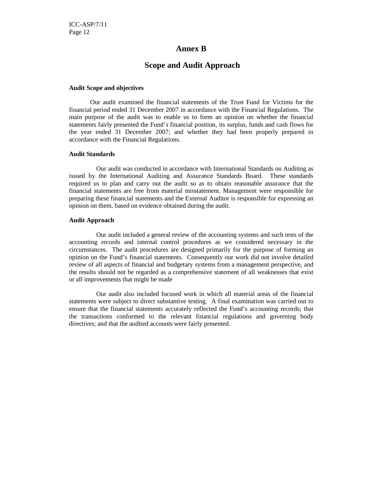### **Annex B**

### **Scope and Audit Approach**

#### **Audit Scope and objectives**

Our audit examined the financial statements of the Trust Fund for Victims for the financial period ended 31 December 2007 in accordance with the Financial Regulations. The main purpose of the audit was to enable us to form an opinion on whether the financial statements fairly presented the Fund's financial position, its surplus, funds and cash flows for the year ended 31 December 2007; and whether they had been properly prepared in accordance with the Financial Regulations.

#### **Audit Standards**

Our audit was conducted in accordance with International Standards on Auditing as issued by the International Auditing and Assurance Standards Board. These standards required us to plan and carry out the audit so as to obtain reasonable assurance that the financial statements are free from material misstatement. Management were responsible for preparing these financial statements and the External Auditor is responsible for expressing an opinion on them, based on evidence obtained during the audit.

#### **Audit Approach**

 Our audit included a general review of the accounting systems and such tests of the accounting records and internal control procedures as we considered necessary in the circumstances. The audit procedures are designed primarily for the purpose of forming an opinion on the Fund's financial statements. Consequently our work did not involve detailed review of all aspects of financial and budgetary systems from a management perspective, and the results should not be regarded as a comprehensive statement of all weaknesses that exist or all improvements that might be made

 Our audit also included focused work in which all material areas of the financial statements were subject to direct substantive testing. A final examination was carried out to ensure that the financial statements accurately reflected the Fund's accounting records; that the transactions conformed to the relevant financial regulations and governing body directives; and that the audited accounts were fairly presented.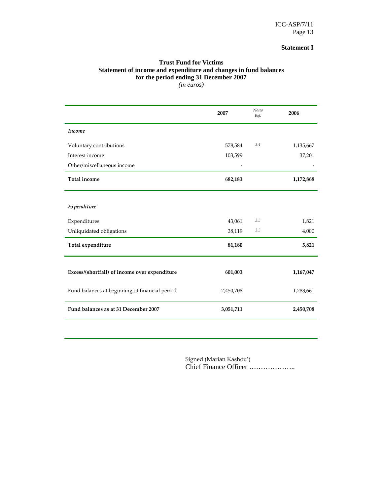#### **Statement I**

#### **Trust Fund for Victims Statement of income and expenditure and changes in fund balances for the period ending 31 December 2007**  *(in euros)*

|                                                | 2007      | <b>Notes</b><br>Ref. | 2006      |
|------------------------------------------------|-----------|----------------------|-----------|
| <b>Income</b>                                  |           |                      |           |
| Voluntary contributions                        | 578,584   | 3.4                  | 1,135,667 |
| Interest income                                | 103,599   |                      | 37,201    |
| Other/miscellaneous income                     |           |                      |           |
| <b>Total income</b>                            | 682,183   |                      | 1,172,868 |
| Expenditure                                    |           |                      |           |
| Expenditures                                   | 43,061    | 3.5                  | 1,821     |
| Unliquidated obligations                       | 38,119    | 3.5                  | 4,000     |
| Total expenditure                              | 81,180    |                      | 5,821     |
| Excess/(shortfall) of income over expenditure  | 601,003   |                      | 1,167,047 |
| Fund balances at beginning of financial period | 2,450,708 |                      | 1,283,661 |
| Fund balances as at 31 December 2007           | 3,051,711 |                      | 2,450,708 |

Signed (Marian Kashou') Chief Finance Officer ………………..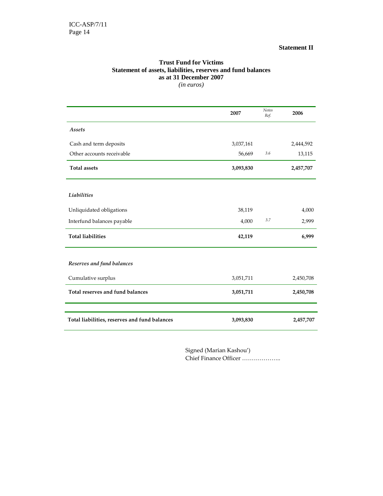#### **Statement II**

#### **Trust Fund for Victims Statement of assets, liabilities, reserves and fund balances as at 31 December 2007**  *(in euros)*

|                                               | 2007      | Notes<br>Ref. | 2006      |
|-----------------------------------------------|-----------|---------------|-----------|
| Assets                                        |           |               |           |
| Cash and term deposits                        | 3,037,161 |               | 2,444,592 |
| Other accounts receivable                     | 56,669    | 3.6           | 13,115    |
| <b>Total assets</b>                           | 3,093,830 |               | 2,457,707 |
| Liabilities                                   |           |               |           |
| Unliquidated obligations                      | 38,119    |               | 4,000     |
| Interfund balances payable                    | 4,000     | 3.7           | 2,999     |
| <b>Total liabilities</b>                      | 42,119    |               | 6,999     |
| Reserves and fund balances                    |           |               |           |
| Cumulative surplus                            | 3,051,711 |               | 2,450,708 |
| Total reserves and fund balances              | 3,051,711 |               | 2,450,708 |
| Total liabilities, reserves and fund balances | 3,093,830 |               | 2,457,707 |

Signed (Marian Kashou') Chief Finance Officer ………………..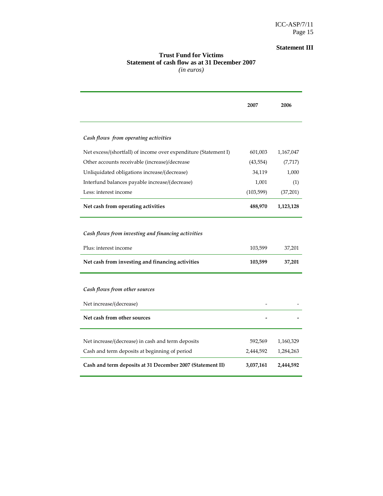## **Statement III**

#### **Trust Fund for Victims Statement of cash flow as at 31 December 2007** *(in euros)*

|                                                                                                    | 2007                 | 2006                   |
|----------------------------------------------------------------------------------------------------|----------------------|------------------------|
| Cash flows from operating activities                                                               |                      |                        |
| Net excess/(shortfall) of income over expenditure (Statement I)                                    | 601,003              | 1,167,047              |
| Other accounts receivable (increase)/decrease                                                      | (43, 554)            | (7, 717)               |
| Unliquidated obligations increase/(decrease)                                                       | 34,119               | 1,000                  |
| Interfund balances payable increase/(decrease)                                                     | 1,001                | (1)                    |
| Less: interest income                                                                              | (103, 599)           | (37,201)               |
| Net cash from operating activities                                                                 | 488,970              | 1,123,128              |
| Cash flows from investing and financing activities<br>Plus: interest income                        | 103,599              | 37,201                 |
| Net cash from investing and financing activities                                                   | 103,599              | 37,201                 |
| Cash flows from other sources<br>Net increase/(decrease)                                           |                      |                        |
| Net cash from other sources                                                                        |                      |                        |
| Net increase/(decrease) in cash and term deposits<br>Cash and term deposits at beginning of period | 592,569<br>2,444,592 | 1,160,329<br>1,284,263 |
| Cash and term deposits at 31 December 2007 (Statement II)                                          | 3,037,161            | 2,444,592              |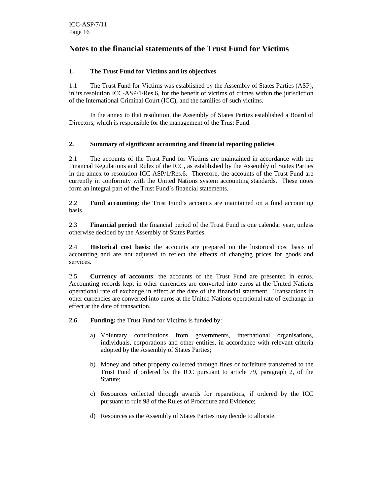## **Notes to the financial statements of the Trust Fund for Victims**

#### **1. The Trust Fund for Victims and its objectives**

1.1 The Trust Fund for Victims was established by the Assembly of States Parties (ASP), in its resolution ICC-ASP/1/Res.6, for the benefit of victims of crimes within the jurisdiction of the International Criminal Court (ICC), and the families of such victims.

In the annex to that resolution, the Assembly of States Parties established a Board of Directors, which is responsible for the management of the Trust Fund.

#### **2. Summary of significant accounting and financial reporting policies**

2.1 The accounts of the Trust Fund for Victims are maintained in accordance with the Financial Regulations and Rules of the ICC, as established by the Assembly of States Parties in the annex to resolution ICC-ASP/1/Res.6. Therefore, the accounts of the Trust Fund are currently in conformity with the United Nations system accounting standards. These notes form an integral part of the Trust Fund's financial statements.

2.2 **Fund accounting**: the Trust Fund's accounts are maintained on a fund accounting basis.

2.3 **Financial period**: the financial period of the Trust Fund is one calendar year, unless otherwise decided by the Assembly of States Parties.

2.4 **Historical cost basis**: the accounts are prepared on the historical cost basis of accounting and are not adjusted to reflect the effects of changing prices for goods and services.

2.5 **Currency of accounts**: the accounts of the Trust Fund are presented in euros. Accounting records kept in other currencies are converted into euros at the United Nations operational rate of exchange in effect at the date of the financial statement. Transactions in other currencies are converted into euros at the United Nations operational rate of exchange in effect at the date of transaction.

**2.6 Funding:** the Trust Fund for Victims is funded by:

- a) Voluntary contributions from governments, international organisations, individuals, corporations and other entities, in accordance with relevant criteria adopted by the Assembly of States Parties;
- b) Money and other property collected through fines or forfeiture transferred to the Trust Fund if ordered by the ICC pursuant to article 79, paragraph 2, of the Statute;
- c) Resources collected through awards for reparations, if ordered by the ICC pursuant to rule 98 of the Rules of Procedure and Evidence;
- d) Resources as the Assembly of States Parties may decide to allocate.